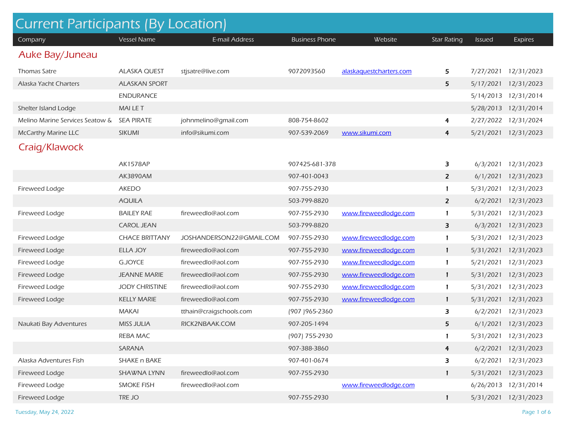| <b>Current Participants (By Location)</b> |                       |                          |                       |                         |                    |               |                      |  |
|-------------------------------------------|-----------------------|--------------------------|-----------------------|-------------------------|--------------------|---------------|----------------------|--|
| Company                                   | <b>Vessel Name</b>    | E-mail Address           | <b>Business Phone</b> | Website                 | <b>Star Rating</b> | <b>Issued</b> | <b>Expires</b>       |  |
| Auke Bay/Juneau                           |                       |                          |                       |                         |                    |               |                      |  |
| Thomas Satre                              | <b>ALASKA QUEST</b>   | stjsatre@live.com        | 9072093560            | alaskaquestcharters.com | 5                  | 7/27/2021     | 12/31/2023           |  |
| Alaska Yacht Charters                     | <b>ALASKAN SPORT</b>  |                          |                       |                         | 5                  | 5/17/2021     | 12/31/2023           |  |
|                                           | <b>ENDURANCE</b>      |                          |                       |                         |                    | 5/14/2013     | 12/31/2014           |  |
| Shelter Island Lodge                      | <b>MAILET</b>         |                          |                       |                         |                    | 5/28/2013     | 12/31/2014           |  |
| Melino Marine Services Seatow &           | <b>SEA PIRATE</b>     | johnmelino@gmail.com     | 808-754-8602          |                         | 4                  | 2/27/2022     | 12/31/2024           |  |
| <b>McCarthy Marine LLC</b>                | <b>SIKUMI</b>         | info@sikumi.com          | 907-539-2069          | www.sikumi.com          | 4                  | 5/21/2021     | 12/31/2023           |  |
| Craig/Klawock                             |                       |                          |                       |                         |                    |               |                      |  |
|                                           | <b>AK1578AP</b>       |                          | 907425-681-378        |                         | 3                  | 6/3/2021      | 12/31/2023           |  |
|                                           | AK3890AM              |                          | 907-401-0043          |                         | $\overline{2}$     | 6/1/2021      | 12/31/2023           |  |
| Fireweed Lodge                            | <b>AKEDO</b>          |                          | 907-755-2930          |                         | 1                  | 5/31/2021     | 12/31/2023           |  |
|                                           | <b>AQUILA</b>         |                          | 503-799-8820          |                         | $\overline{2}$     | 6/2/2021      | 12/31/2023           |  |
| Fireweed Lodge                            | <b>BAILEY RAE</b>     | fireweedlo@aol.com       | 907-755-2930          | www.fireweedlodge.com   | $\mathbf{1}$       | 5/31/2021     | 12/31/2023           |  |
|                                           | <b>CAROL JEAN</b>     |                          | 503-799-8820          |                         | 3                  | 6/3/2021      | 12/31/2023           |  |
| Fireweed Lodge                            | <b>CHACE BRITTANY</b> | JOSHANDERSON22@GMAIL.COM | 907-755-2930          | www.fireweedlodge.com   | 1                  | 5/31/2021     | 12/31/2023           |  |
| Fireweed Lodge                            | <b>ELLA JOY</b>       | fireweedlo@aol.com       | 907-755-2930          | www.fireweedlodge.com   | 1                  | 5/31/2021     | 12/31/2023           |  |
| Fireweed Lodge                            | <b>G.JOYCE</b>        | fireweedlo@aol.com       | 907-755-2930          | www.fireweedlodge.com   | 1                  | 5/21/2021     | 12/31/2023           |  |
| Fireweed Lodge                            | <b>JEANNE MARIE</b>   | fireweedlo@aol.com       | 907-755-2930          | www.fireweedlodge.com   | 1                  | 5/31/2021     | 12/31/2023           |  |
| Fireweed Lodge                            | <b>JODY CHRISTINE</b> | fireweedlo@aol.com       | 907-755-2930          | www.fireweedlodge.com   | 1                  | 5/31/2021     | 12/31/2023           |  |
| Fireweed Lodge                            | <b>KELLY MARIE</b>    | fireweedlo@aol.com       | 907-755-2930          | www.fireweedlodge.com   | 1                  | 5/31/2021     | 12/31/2023           |  |
|                                           | <b>MAKAI</b>          | tthain@craigschools.com  | (907) 965-2360        |                         | 3                  | 6/2/2021      | 12/31/2023           |  |
| Naukati Bay Adventures                    | <b>MISS JULIA</b>     | RICK2NBAAK.COM           | 907-205-1494          |                         | 5                  | 6/1/2021      | 12/31/2023           |  |
|                                           | REBA MAC              |                          | (907) 755-2930        |                         | 1                  | 5/31/2021     | 12/31/2023           |  |
|                                           | SARANA                |                          | 907-388-3860          |                         | $\overline{4}$     |               | 6/2/2021 12/31/2023  |  |
| Alaska Adventures Fish                    | SHAKE n BAKE          |                          | 907-401-0674          |                         | 3                  | 6/2/2021      | 12/31/2023           |  |
| Fireweed Lodge                            | SHAWNA LYNN           | fireweedlo@aol.com       | 907-755-2930          |                         | $\mathbf{1}$       | 5/31/2021     | 12/31/2023           |  |
| Fireweed Lodge                            | <b>SMOKE FISH</b>     | fireweedlo@aol.com       |                       | www.fireweedlodge.com   |                    |               | 6/26/2013 12/31/2014 |  |
| Fireweed Lodge                            | TRE JO                |                          | 907-755-2930          |                         | $\mathbf{1}$       |               | 5/31/2021 12/31/2023 |  |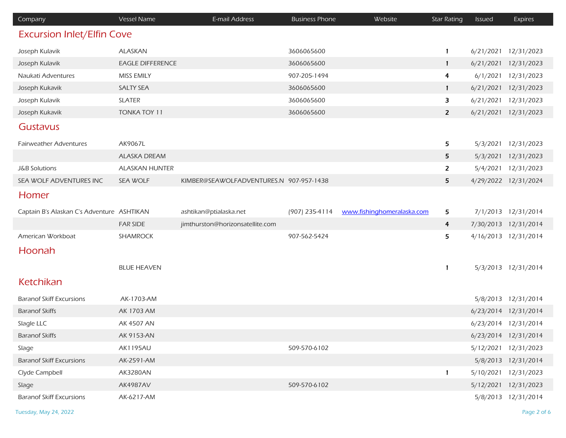| Company                                    | Vessel Name             | E-mail Address                          | <b>Business Phone</b> | Website                    | <b>Star Rating</b>      | Issued    | <b>Expires</b>       |
|--------------------------------------------|-------------------------|-----------------------------------------|-----------------------|----------------------------|-------------------------|-----------|----------------------|
| <b>Excursion Inlet/Elfin Cove</b>          |                         |                                         |                       |                            |                         |           |                      |
| Joseph Kulavik                             | <b>ALASKAN</b>          |                                         | 3606065600            |                            | 1                       | 6/21/2021 | 12/31/2023           |
| Joseph Kulavik                             | <b>EAGLE DIFFERENCE</b> |                                         | 3606065600            |                            | $\mathbf{1}$            | 6/21/2021 | 12/31/2023           |
| Naukati Adventures                         | MISS EMILY              |                                         | 907-205-1494          |                            | $\overline{\mathbf{r}}$ | 6/1/2021  | 12/31/2023           |
| Joseph Kukavik                             | <b>SALTY SEA</b>        |                                         | 3606065600            |                            | $\mathbf{1}$            | 6/21/2021 | 12/31/2023           |
| Joseph Kulavik                             | <b>SLATER</b>           |                                         | 3606065600            |                            | 3                       | 6/21/2021 | 12/31/2023           |
| Joseph Kukavik                             | <b>TONKA TOY 11</b>     |                                         | 3606065600            |                            | $\overline{2}$          | 6/21/2021 | 12/31/2023           |
| Gustavus                                   |                         |                                         |                       |                            |                         |           |                      |
| <b>Fairweather Adventures</b>              | AK9067L                 |                                         |                       |                            | 5                       | 5/3/2021  | 12/31/2023           |
|                                            | <b>ALASKA DREAM</b>     |                                         |                       |                            | 5                       | 5/3/2021  | 12/31/2023           |
| <b>J&amp;B Solutions</b>                   | <b>ALASKAN HUNTER</b>   |                                         |                       |                            | $\overline{2}$          | 5/4/2021  | 12/31/2023           |
| SEA WOLF ADVENTURES INC                    | SEA WOLF                | KIMBER@SEAWOLFADVENTURES.N 907-957-1438 |                       |                            | 5                       |           | 4/29/2022 12/31/2024 |
| Homer                                      |                         |                                         |                       |                            |                         |           |                      |
| Captain B's Alaskan C's Adventure ASHTIKAN |                         | ashtikan@ptialaska.net                  | (907) 235-4114        | www.fishinghomeralaska.com | 5                       |           | 7/1/2013 12/31/2014  |
|                                            | <b>FAR SIDE</b>         | jimthurston@horizonsatellite.com        |                       |                            | $\overline{4}$          |           | 7/30/2013 12/31/2014 |
| American Workboat                          | SHAMROCK                |                                         | 907-562-5424          |                            | 5                       |           | 4/16/2013 12/31/2014 |
| Hoonah                                     |                         |                                         |                       |                            |                         |           |                      |
|                                            | <b>BLUE HEAVEN</b>      |                                         |                       |                            | 1                       |           | 5/3/2013 12/31/2014  |
| Ketchikan                                  |                         |                                         |                       |                            |                         |           |                      |
| <b>Baranof Skiff Excursions</b>            | AK-1703-AM              |                                         |                       |                            |                         |           | 5/8/2013 12/31/2014  |
| <b>Baranof Skiffs</b>                      | AK 1703 AM              |                                         |                       |                            |                         |           | 6/23/2014 12/31/2014 |
| Slagle LLC                                 | AK 4507 AN              |                                         |                       |                            |                         |           | 6/23/2014 12/31/2014 |
| <b>Baranof Skiffs</b>                      | AK 9153-AN              |                                         |                       |                            |                         |           | 6/23/2014 12/31/2014 |
| Slage                                      | <b>AK1195AU</b>         |                                         | 509-570-6102          |                            |                         |           | 5/12/2021 12/31/2023 |
| <b>Baranof Skiff Excursions</b>            | AK-2591-AM              |                                         |                       |                            |                         |           | 5/8/2013 12/31/2014  |
| Clyde Campbell                             | AK3280AN                |                                         |                       |                            | 1                       |           | 5/10/2021 12/31/2023 |
| Slage                                      | AK4987AV                |                                         | 509-570-6102          |                            |                         |           | 5/12/2021 12/31/2023 |
| <b>Baranof Skiff Excursions</b>            | AK-6217-AM              |                                         |                       |                            |                         |           | 5/8/2013 12/31/2014  |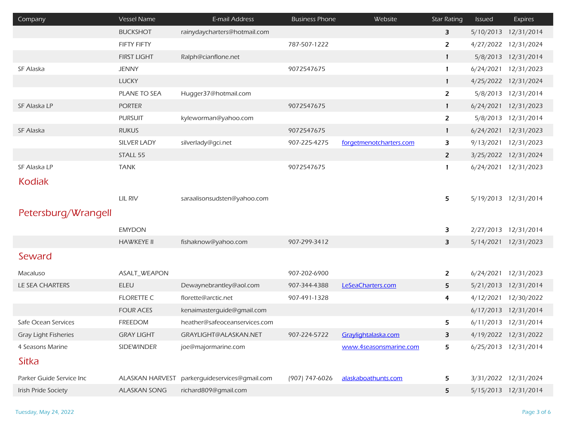| Company                     | Vessel Name         | E-mail Address                | <b>Business Phone</b> | Website                 | <b>Star Rating</b> | <b>Issued</b> | <b>Expires</b>       |
|-----------------------------|---------------------|-------------------------------|-----------------------|-------------------------|--------------------|---------------|----------------------|
|                             | <b>BUCKSHOT</b>     | rainydaycharters@hotmail.com  |                       |                         | 3                  | 5/10/2013     | 12/31/2014           |
|                             | FIFTY FIFTY         |                               | 787-507-1222          |                         | $\overline{2}$     |               | 4/27/2022 12/31/2024 |
|                             | <b>FIRST LIGHT</b>  | Ralph@cianflone.net           |                       |                         | $\mathbf{1}$       | 5/8/2013      | 12/31/2014           |
| SF Alaska                   | <b>JENNY</b>        |                               | 9072547675            |                         | $\mathbf{1}$       | 6/24/2021     | 12/31/2023           |
|                             | <b>LUCKY</b>        |                               |                       |                         | $\mathbf{1}$       |               | 4/25/2022 12/31/2024 |
|                             | PLANE TO SEA        | Hugger37@hotmail.com          |                       |                         | $\mathbf{Z}$       | 5/8/2013      | 12/31/2014           |
| SF Alaska LP                | <b>PORTER</b>       |                               | 9072547675            |                         | $\mathbf{1}$       | 6/24/2021     | 12/31/2023           |
|                             | <b>PURSUIT</b>      | kyleworman@yahoo.com          |                       |                         | $\overline{2}$     | 5/8/2013      | 12/31/2014           |
| SF Alaska                   | <b>RUKUS</b>        |                               | 9072547675            |                         | $\mathbf{1}$       | 6/24/2021     | 12/31/2023           |
|                             | <b>SILVER LADY</b>  | silverlady@gci.net            | 907-225-4275          | forgetmenotcharters.com | 3                  | 9/13/2021     | 12/31/2023           |
|                             | STALL 55            |                               |                       |                         | $\overline{2}$     |               | 3/25/2022 12/31/2024 |
| SF Alaska LP                | <b>TANK</b>         |                               | 9072547675            |                         | 1                  | 6/24/2021     | 12/31/2023           |
| <b>Kodiak</b>               |                     |                               |                       |                         |                    |               |                      |
|                             | LIL RIV             | saraalisonsudsten@yahoo.com   |                       |                         | 5                  |               | 5/19/2013 12/31/2014 |
|                             |                     |                               |                       |                         |                    |               |                      |
| Petersburg/Wrangell         |                     |                               |                       |                         |                    |               |                      |
|                             | <b>EMYDON</b>       |                               |                       |                         | 3                  | 2/27/2013     | 12/31/2014           |
|                             | <b>HAWKEYE II</b>   | fishaknow@yahoo.com           | 907-299-3412          |                         | 3                  |               | 5/14/2021 12/31/2023 |
| Seward                      |                     |                               |                       |                         |                    |               |                      |
| Macaluso                    | ASALT_WEAPON        |                               | 907-202-6900          |                         | $\overline{z}$     | 6/24/2021     | 12/31/2023           |
| LE SEA CHARTERS             | <b>ELEU</b>         | Dewaynebrantley@aol.com       | 907-344-4388          | LeSeaCharters.com       | 5                  | 5/21/2013     | 12/31/2014           |
|                             | <b>FLORETTE C</b>   | florette@arctic.net           | 907-491-1328          |                         | 4                  | 4/12/2021     | 12/30/2022           |
|                             | <b>FOUR ACES</b>    | kenaimasterguide@gmail.com    |                       |                         |                    |               | 6/17/2013 12/31/2014 |
| Safe Ocean Services         | <b>FREEDOM</b>      | heather@safeoceanservices.com |                       |                         | 5                  |               | 6/11/2013 12/31/2014 |
| <b>Gray Light Fisheries</b> | <b>GRAY LIGHT</b>   | GRAYLIGHT@ALASKAN.NET         | 907-224-5722          | Graylightalaska.com     | 3                  |               | 4/19/2022 12/31/2022 |
| 4 Seasons Marine            | <b>SIDEWINDER</b>   | joe@majormarine.com           |                       | www.4seasonsmarine.com  | 5                  |               | 6/25/2013 12/31/2014 |
| Sitka                       |                     |                               |                       |                         |                    |               |                      |
| Parker Guide Service Inc    | ALASKAN HARVEST     | parkerquideservices@qmail.com | (907) 747-6026        | alaskaboathunts.com     | 5                  |               | 3/31/2022 12/31/2024 |
| Irish Pride Society         | <b>ALASKAN SONG</b> | richard809@gmail.com          |                       |                         | 5                  |               | 5/15/2013 12/31/2014 |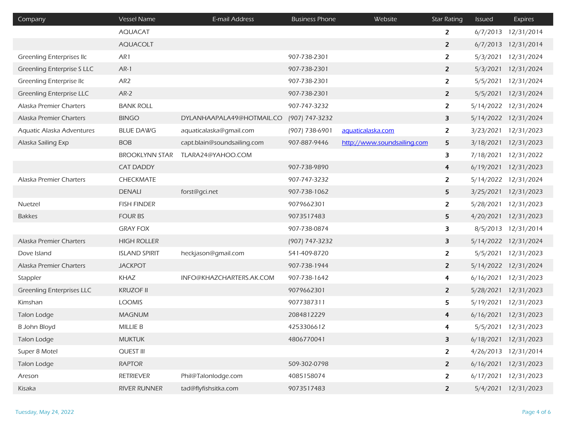| Company                          | <b>Vessel Name</b>    | E-mail Address              | <b>Business Phone</b> | Website                     | <b>Star Rating</b>      | <b>Issued</b> | <b>Expires</b>       |
|----------------------------------|-----------------------|-----------------------------|-----------------------|-----------------------------|-------------------------|---------------|----------------------|
|                                  | <b>AQUACAT</b>        |                             |                       |                             | 2                       | 6/7/2013      | 12/31/2014           |
|                                  | <b>AQUACOLT</b>       |                             |                       |                             | $\overline{2}$          | 6/7/2013      | 12/31/2014           |
| <b>Greenling Enterprises Ilc</b> | AR1                   |                             | 907-738-2301          |                             | $\overline{2}$          | 5/3/2021      | 12/31/2024           |
| Greenling Enterprise S LLC       | $AR-1$                |                             | 907-738-2301          |                             | $\overline{2}$          | 5/3/2021      | 12/31/2024           |
| Greenling Enterprise IIc         | AR <sub>2</sub>       |                             | 907-738-2301          |                             | $\overline{2}$          | 5/5/2021      | 12/31/2024           |
| Greenling Enterprise LLC         | $AR-2$                |                             | 907-738-2301          |                             | $\overline{2}$          | 5/5/2021      | 12/31/2024           |
| Alaska Premier Charters          | <b>BANK ROLL</b>      |                             | 907-747-3232          |                             | $\overline{2}$          | 5/14/2022     | 12/31/2024           |
| Alaska Premier Charters          | <b>BINGO</b>          | DYLANHAAPALA49@HOTMAIL.CO   | (907) 747-3232        |                             | 3                       | 5/14/2022     | 12/31/2024           |
| Aquatic Alaska Adventures        | <b>BLUE DAWG</b>      | aquaticalaska@gmail.com     | (907) 738-6901        | aquaticalaska.com           | $\overline{z}$          | 3/23/2021     | 12/31/2023           |
| Alaska Sailing Exp               | <b>BOB</b>            | capt.blain@soundsailing.com | 907-887-9446          | http://www.soundsailing.com | 5                       | 3/18/2021     | 12/31/2023           |
|                                  | <b>BROOKLYNN STAR</b> | TLARA24@YAHOO.COM           |                       |                             | 3                       | 7/18/2021     | 12/31/2022           |
|                                  | <b>CAT DADDY</b>      |                             | 907-738-9890          |                             | 4                       | 6/19/2021     | 12/31/2023           |
| Alaska Premier Charters          | CHECKMATE             |                             | 907-747-3232          |                             | $\overline{z}$          | 5/14/2022     | 12/31/2024           |
|                                  | <b>DENALI</b>         | forst@gci.net               | 907-738-1062          |                             | 5                       | 3/25/2021     | 12/31/2023           |
| Nuetzel                          | <b>FISH FINDER</b>    |                             | 9079662301            |                             | $\mathbf{Z}$            | 5/28/2021     | 12/31/2023           |
| <b>Bakkes</b>                    | <b>FOUR BS</b>        |                             | 9073517483            |                             | 5                       | 4/20/2021     | 12/31/2023           |
|                                  | <b>GRAY FOX</b>       |                             | 907-738-0874          |                             | 3                       | 8/5/2013      | 12/31/2014           |
| Alaska Premier Charters          | <b>HIGH ROLLER</b>    |                             | (907) 747-3232        |                             | 3                       | 5/14/2022     | 12/31/2024           |
| Dove Island                      | <b>ISLAND SPIRIT</b>  | heckjason@gmail.com         | 541-409-8720          |                             | $\overline{2}$          | 5/5/2021      | 12/31/2023           |
| Alaska Premier Charters          | <b>JACKPOT</b>        |                             | 907-738-1944          |                             | $\overline{2}$          | 5/14/2022     | 12/31/2024           |
| Stappler                         | KHAZ                  | INFO@KHAZCHARTERS.AK.COM    | 907-738-1642          |                             | $\overline{\mathbf{r}}$ | 6/16/2021     | 12/31/2023           |
| <b>Greenling Enterprises LLC</b> | <b>KRUZOF II</b>      |                             | 9079662301            |                             | $\mathbf{z}$            | 5/28/2021     | 12/31/2023           |
| Kimshan                          | <b>LOOMIS</b>         |                             | 9077387311            |                             | 5                       | 5/19/2021     | 12/31/2023           |
| Talon Lodge                      | <b>MAGNUM</b>         |                             | 2084812229            |                             | $\overline{4}$          | 6/16/2021     | 12/31/2023           |
| <b>B John Bloyd</b>              | MILLIE B              |                             | 4253306612            |                             | 4                       | 5/5/2021      | 12/31/2023           |
| Talon Lodge                      | <b>MUKTUK</b>         |                             | 4806770041            |                             | 3                       |               | 6/18/2021 12/31/2023 |
| Super 8 Motel                    | <b>QUEST III</b>      |                             |                       |                             | $\overline{2}$          |               | 4/26/2013 12/31/2014 |
| Talon Lodge                      | <b>RAPTOR</b>         |                             | 509-302-0798          |                             | $\overline{2}$          |               | 6/16/2021 12/31/2023 |
| Areson                           | <b>RETRIEVER</b>      | Phil@Talonlodge.com         | 4085158074            |                             | $\overline{2}$          | 6/17/2021     | 12/31/2023           |
| Kisaka                           | RIVER RUNNER          | tad@flyfishsitka.com        | 9073517483            |                             | $\overline{2}$          |               | 5/4/2021 12/31/2023  |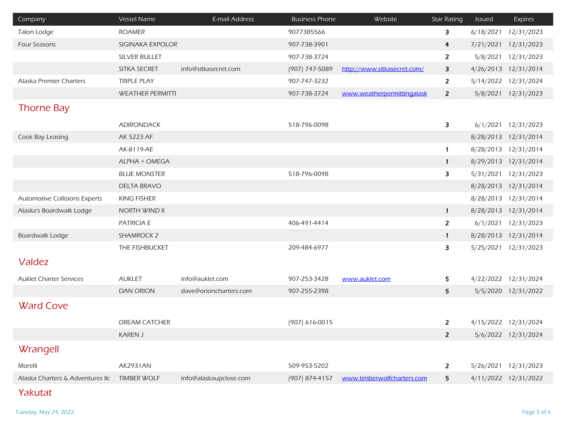| Company                                      | <b>Vessel Name</b>      | E-mail Address         | <b>Business Phone</b> | Website                     | <b>Star Rating</b>      | <b>Issued</b> | Expires              |
|----------------------------------------------|-------------------------|------------------------|-----------------------|-----------------------------|-------------------------|---------------|----------------------|
| Talon Lodge                                  | <b>ROAMER</b>           |                        | 9077385566            |                             | $\overline{\mathbf{3}}$ | 6/18/2021     | 12/31/2023           |
| <b>Four Seasons</b>                          | SIGINAKA EXPOLOR        |                        | 907-738-3901          |                             | $\overline{4}$          | 7/21/2021     | 12/31/2023           |
|                                              | <b>SILVER BULLET</b>    |                        | 907-738-3724          |                             | $\overline{2}$          |               | 5/8/2021 12/31/2023  |
|                                              | SITKA SECRET            | info@sitkasecret.com   | (907) 747-5089        | http://www.sitkasecret.com/ | 3                       |               | 4/26/2013 12/31/2014 |
| Alaska Premier Charters                      | <b>TRIPLE PLAY</b>      |                        | 907-747-3232          |                             | $\overline{2}$          | 5/14/2022     | 12/31/2024           |
|                                              | <b>WEATHER PERMITTI</b> |                        | 907-738-3724          | www.weatherpermittingalask  | $\overline{2}$          |               | 5/8/2021 12/31/2023  |
| <b>Thorne Bay</b>                            |                         |                        |                       |                             |                         |               |                      |
|                                              | <b>ADIRONDACK</b>       |                        | 518-796-0098          |                             | 3                       |               | 6/1/2021 12/31/2023  |
| Cook Bay Leasing                             | AK 5223 AF              |                        |                       |                             |                         |               | 8/28/2013 12/31/2014 |
|                                              | AK-8119-AE              |                        |                       |                             | $\mathbf{1}$            |               | 8/28/2013 12/31/2014 |
|                                              | ALPHA + OMEGA           |                        |                       |                             | $\mathbf{1}$            |               | 8/29/2013 12/31/2014 |
|                                              | <b>BLUE MONSTER</b>     |                        | 518-796-0098          |                             | 3                       |               | 5/31/2021 12/31/2023 |
|                                              | <b>DELTA BRAVO</b>      |                        |                       |                             |                         |               | 8/28/2013 12/31/2014 |
| <b>Automotive Collisions Experts</b>         | <b>KING FISHER</b>      |                        |                       |                             |                         |               | 8/28/2013 12/31/2014 |
| Alaska's Boardwalk Lodge                     | <b>NORTH WIND II</b>    |                        |                       |                             | $\mathbf{1}$            |               | 8/28/2013 12/31/2014 |
|                                              | PATRICIA E              |                        | 406-491-4414          |                             | $\overline{2}$          |               | 6/1/2021 12/31/2023  |
| Boardwalk Lodge                              | <b>SHAMROCK 2</b>       |                        |                       |                             | $\mathbf{1}$            |               | 8/28/2013 12/31/2014 |
|                                              | THE FISHBUCKET          |                        | 209-484-6977          |                             | 3                       |               | 5/25/2021 12/31/2023 |
| <b>Valdez</b>                                |                         |                        |                       |                             |                         |               |                      |
|                                              |                         |                        |                       |                             |                         |               |                      |
| <b>Auklet Charter Services</b>               | <b>AUKLET</b>           | info@auklet.com        | 907-253-3428          | www.auklet.com              | 5                       |               | 4/22/2022 12/31/2024 |
|                                              | <b>DAN ORION</b>        | dave@orioncharters.com | 907-255-2398          |                             | 5                       |               | 5/5/2020 12/31/2022  |
| <b>Ward Cove</b>                             |                         |                        |                       |                             |                         |               |                      |
|                                              | <b>DREAM CATCHER</b>    |                        | (907) 616-0015        |                             | $\overline{z}$          |               | 4/15/2022 12/31/2024 |
|                                              | <b>KAREN J</b>          |                        |                       |                             | $\overline{z}$          |               | 5/6/2022 12/31/2024  |
| Wrangell                                     |                         |                        |                       |                             |                         |               |                      |
| Morelli                                      | <b>AK2931AN</b>         |                        | 509-953-5202          |                             | $\overline{2}$          | 5/26/2021     | 12/31/2023           |
| Alaska Charters & Adventures IIc TIMBER WOLF |                         | info@alaskaupclose.com | (907) 874-4157        | www.timberwolfcharters.com  | 5                       |               | 4/11/2022 12/31/2022 |
|                                              |                         |                        |                       |                             |                         |               |                      |

O p Yakutat